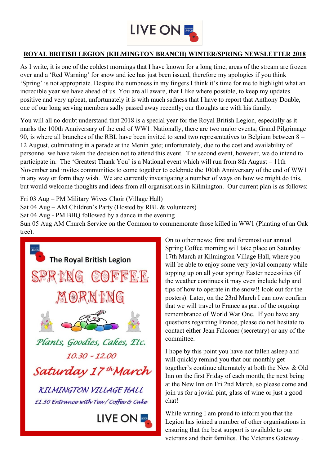

## **ROYAL BRITISH LEGION (KILMINGTON BRANCH) WINTER/SPRING NEWSLETTER 2018**

As I write, it is one of the coldest mornings that I have known for a long time, areas of the stream are frozen over and a 'Red Warning' for snow and ice has just been issued, therefore my apologies if you think 'Spring' is not appropriate. Despite the numbness in my fingers I think it's time for me to highlight what an incredible year we have ahead of us. You are all aware, that I like where possible, to keep my updates positive and very upbeat, unfortunately it is with much sadness that I have to report that Anthony Double, one of our long serving members sadly passed away recently; our thoughts are with his family.

You will all no doubt understand that 2018 is a special year for the Royal British Legion, especially as it marks the 100th Anniversary of the end of WW1. Nationally, there are two major events; Grand Pilgrimage 90, is where all branches of the RBL have been invited to send two representatives to Belgium between 8 – 12 August, culminating in a parade at the Menin gate; unfortunately, due to the cost and availability of personnel we have taken the decision not to attend this event. The second event, however, we do intend to participate in. The 'Greatest Thank You' is a National event which will run from 8th August – 11th November and invites communities to come together to celebrate the 100th Anniversary of the end of WW1 in any way or form they wish. We are currently investigating a number of ways on how we might do this, but would welcome thoughts and ideas from all organisations in Kilmington. Our current plan is as follows:

Fri 03 Aug – PM Military Wives Choir (Village Hall) Sat 04 Aug – AM Children's Party (Hosted by RBL & volunteers) Sat 04 Aug - PM BBQ followed by a dance in the evening Sun 05 Aug AM Church Service on the Common to commemorate those killed in WW1 (Planting of an Oak tree).



On to other news; first and foremost our annual Spring Coffee morning will take place on Saturday 17th March at Kilmington Village Hall, where you will be able to enjoy some very jovial company while topping up on all your spring/ Easter necessities (if the weather continues it may even include help and tips of how to operate in the snow!! look out for the posters). Later, on the 23rd March I can now confirm that we will travel to France as part of the ongoing remembrance of World War One. If you have any questions regarding France, please do not hesitate to contact either Jean Falconer (secretary) or any of the committee.

I hope by this point you have not fallen asleep and will quickly remind you that our monthly get together's continue alternately at both the New & Old Inn on the first Friday of each month; the next being at the New Inn on Fri 2nd March, so please come and join us for a jovial pint, glass of wine or just a good chat!

While writing I am proud to inform you that the Legion has joined a number of other organisations in ensuring that the best support is available to our veterans and their families. The Veterans Gateway .